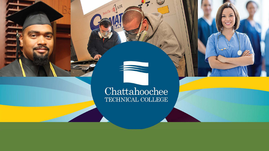

## Chattahoochee TECHNICAL COLLEGE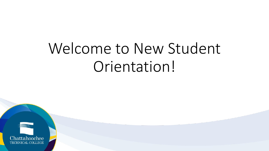## Welcome to New Student Orientation!

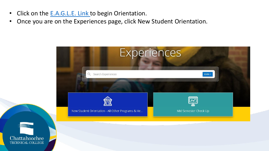- Click on the [E.A.G.L.E. Link t](https://chattahoocheetech.presence.io/experiences)o begin Orientation.
- Once you are on the Experiences page, click New Student Orientation.



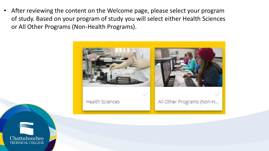After reviewing the content on the Welcome page, please select your program of study. Based on your program of study you will select either Health Sciences or All Other Programs (Non-Health Programs).



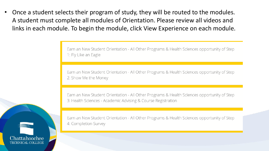Once a student selects their program of study, they will be routed to the modules. A student must complete all modules of Orientation. Please review all videos and links in each module. To begin the module, click View Experience on each module.

> Earn an New Student Orientation - All Other Programs & Health Sciences opportunity of Step 1: Fly Like an Eagle

> Earn an New Student Orientation - All Other Programs & Health Sciences opportunity of Step 2: Show Me the Money

> Earn an New Student Orientation - All Other Programs & Health Sciences opportunity of Step 3: Health Sciences - Academic Advising & Course Registration



Earn an New Student Orientation - All Other Programs & Health Sciences opportunity of Step 4: Completion Survey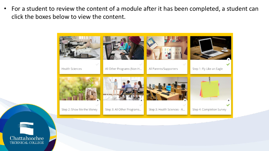• For a student to review the content of a module after it has been completed, a student can click the boxes below to view the content.



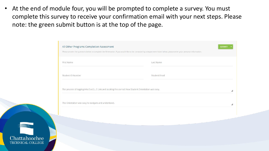• At the end of module four, you will be prompted to complete a survey. You must complete this survey to receive your confirmation email with your next steps. Please note: the green submit button is at the top of the page.

|                                                                                                       | Please answer the questions below to complete the Orientation. If you would like to be contacted by a department listed below, please enter your personal information. |  |
|-------------------------------------------------------------------------------------------------------|------------------------------------------------------------------------------------------------------------------------------------------------------------------------|--|
| First Name                                                                                            | Last Name                                                                                                                                                              |  |
| Student ID Number                                                                                     | Student Email                                                                                                                                                          |  |
| The process of logging into E.A.G.L.E Link and locating the correct New Student Orientation was easy. |                                                                                                                                                                        |  |
| The Orientation was easy to navigate and understand.                                                  |                                                                                                                                                                        |  |

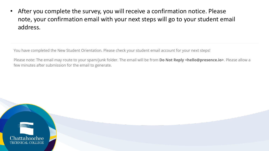• After you complete the survey, you will receive a confirmation notice. Please note, your confirmation email with your next steps will go to your student email address.

You have completed the New Student Orientation. Please check your student email account for your next steps!

Please note: The email may route to your spam/junk folder. The email will be from Do Not Reply <hello@presence.io>. Please allow a few minutes after submission for the email to generate.